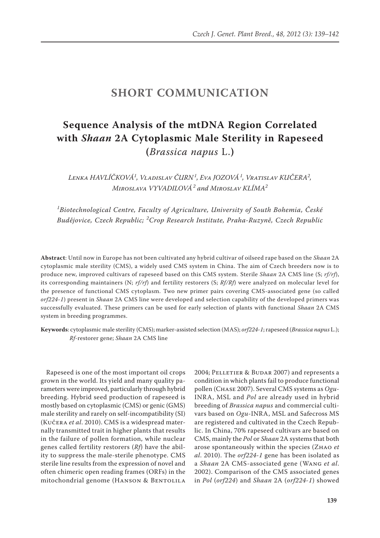## **SHORT COMMUNICATION**

## **Sequence Analysis of the mtDNA Region Correlated with** *Shaan* **2A Cytoplasmic Male Sterility in Rapeseed (***Brassica napus* L.**)**

*Lenka HAVLÍČKOVÁ1 , Vladislav ČURN<sup>1</sup> , Eva JOZOVÁ<sup>1</sup> , Vratislav KUČERA2 , Miroslava VYVADILOVÁ<sup>2</sup> and Miroslav KLÍMA2*

*1 Biotechnological Centre, Faculty of Agriculture, University of South Bohemia, České Budějovice, Czech Republic; <sup>2</sup> Crop Research Institute, Praha-Ruzyně, Czech Republic*

**Abstract**: Until now in Europe has not been cultivated any hybrid cultivar of oilseed rape based on the *Shaan* 2A cytoplasmic male sterility (CMS), a widely used CMS system in China. The aim of Czech breeders now is to produce new, improved cultivars of rapeseed based on this CMS system. Sterile *Shaan* 2A CMS line (S; *rf/rf*), its corresponding maintainers (N; *rf/rf*) and fertility restorers (S; *Rf/Rf*) were analyzed on molecular level for the presence of functional CMS cytoplasm. Two new primer pairs covering CMS-associated gene (so called *orf224-1*) present in *Shaan* 2A CMS line were developed and selection capability of the developed primers was successfully evaluated. These primers can be used for early selection of plants with functional *Shaan* 2A CMS system in breeding programmes.

**Keywords**: cytoplasmic male sterility (CMS); marker-assisted selection (MAS); *orf224-1*;rapeseed (*Brassica napus* L.); *Rf-*restorer gene; *Shaan* 2A CMS line

Rapeseed is one of the most important oil crops grown in the world. Its yield and many quality parameters were improved, particularly through hybrid breeding. Hybrid seed production of rapeseed is mostly based on cytoplasmic (CMS) or genic (GMS) male sterility and rarely on self-incompatibility (SI) (Kučera *et al*. 2010). CMS is a widespread maternally transmitted trait in higher plants that results in the failure of pollen formation, while nuclear genes called fertility restorers (*Rf*) have the ability to suppress the male-sterile phenotype. CMS sterile line results from the expression of novel and often chimeric open reading frames (ORFs) in the mitochondrial genome (HANSON & BENTOLILA

2004; PELLETIER & BUDAR 2007) and represents a condition in which plants fail to produce functional pollen (Chase 2007). Several CMS systems as *Ogu*-INRA, MSL and *Pol* are already used in hybrid breeding of *Brassica napus* and commercial cultivars based on *Ogu*-INRA, MSL and Safecross MS are registered and cultivated in the Czech Republic. In China, 70% rapeseed cultivars are based on CMS, mainly the *Pol* or *Shaan* 2A systems that both arose spontaneously within the species (Zhao *et al*. 2010). The *orf224-1* gene has been isolated as a *Shaan* 2A CMS-associated gene (Wang *et al*. 2002). Comparison of the CMS associated genes in *Pol* (*orf224*) and *Shaan* 2A (*orf224-1*) showed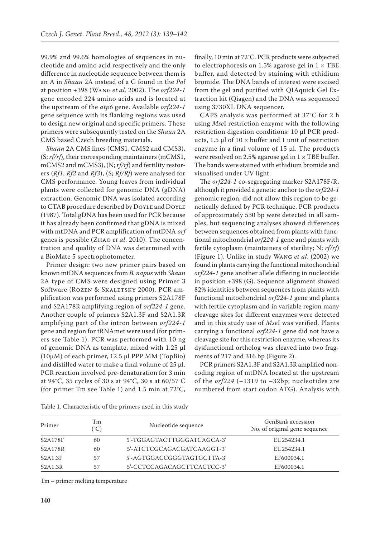99.9% and 99.6% homologies of sequences in nucleotide and amino acid respectively and the only difference in nucleotide sequence between them is an A in *Shaan* 2A instead of a G found in the *Pol* at position +398 (Wang *et al*. 2002). The *orf224-1* gene encoded 224 amino acids and is located at the upstream of the *atp6* gene. Available *orf224-1* gene sequence with its flanking regions was used to design new original and specific primers. These primers were subsequently tested on the *Shaan* 2A CMS based Czech breeding materials.

*Shaan* 2A CMS lines (CMS1, CMS2 and CMS3), (S; *rf/rf*), their corresponding maintainers (mCMS1, mCMS2 and mCMS3), (N; *rf/rf*) and fertility restorers (*Rf1*, *Rf2* and *Rf3*), (S; *Rf/Rf*) were analysed for CMS performance. Young leaves from individual plants were collected for genomic DNA (gDNA) extraction. Genomic DNA was isolated according to CTAB procedure described by DOYLE and DOYLE (1987). Total gDNA has been used for PCR because it has already been confirmed that gDNA is mixed with mtDNA and PCR amplification of mtDNA *orf* genes is possible (Zhao *et al*. 2010). The concentration and quality of DNA was determined with a BioMate 5 spectrophotometer.

Primer design: two new primer pairs based on known mtDNA sequences from *B. napus* with *Shaan* 2A type of CMS were designed using Primer 3 Software (ROZEN & SKALETSKY 2000). PCR amplification was performed using primers S2A178F and S2A178R amplifying region of *orf224-1* gene. Another couple of primers S2A1.3F and S2A1.3R amplifying part of the intron between *orf224-1* gene and region for tRNAmet were used (for primers see Table 1). PCR was performed with 10 ng of genomic DNA as template, mixed with 1.25 μl (10μM) of each primer, 12.5 μl PPP MM (TopBio) and distilled water to make a final volume of  $25 \mu$ l. PCR reaction involved pre-denaturation for 3 min at 94°C, 35 cycles of 30 s at 94°C, 30 s at 60/57°C (for primer Tm see Table 1) and 1.5 min at 72°C,

finally, 10 min at 72°C. PCR products were subjected to electrophoresis on 1.5% agarose gel in  $1 \times \text{TBE}$ buffer, and detected by staining with ethidium bromide. The DNA bands of interest were excised from the gel and purified with QIAquick Gel Extraction kit (Qiagen) and the DNA was sequenced using 3730XL DNA sequencer.

CAPS analysis was performed at 37°C for 2 h using *Mse*I restriction enzyme with the following restriction digestion conditions: 10 µl PCR products, 1.5  $\mu$ l of 10  $\times$  buffer and 1 unit of restriction enzyme in a final volume of 15 µl. The products were resolved on 2.5% agarose gel in  $1 \times$  TBE buffer. The bands were stained with ethidium bromide and visualised under UV light.

The *orf224-1* co-segregating marker S2A178F/R, although it provided a genetic anchor to the *orf224-1* genomic region, did not allow this region to be genetically defined by PCR technique. PCR products of approximately 530 bp were detected in all samples, but sequencing analyses showed differences between sequences obtained from plants with functional mitochondrial *orf224-1* gene and plants with fertile cytoplasm (maintainers of sterility; N; *rf/rf*) (Figure 1). Unlike in study Wang *et al*. (2002) we found in plants carrying the functional mitochondrial *orf224-1* gene another allele differing in nucleotide in position +398 (G). Sequence alignment showed 82% identities between sequences from plants with functional mitochondrial *orf224-1* gene and plants with fertile cytoplasm and in variable region many cleavage sites for different enzymes were detected and in this study use of *Mse*I was verified. Plants carrying a functional *orf224-1* gene did not have a cleavage site for this restriction enzyme, whereas its dysfunctional ortholog was cleaved into two fragments of 217 and 316 bp (Figure 2).

PCR primers S2A1.3F and S2A1.3R amplified noncoding region of mtDNA located at the upstream of the *orf224* (–1319 to –32bp; nucleotides are numbered from start codon ATG). Analysis with

| Primer                            | Tm<br>(°C) | Nucleotide sequence        | GenBank accession<br>No. of original gene sequence |
|-----------------------------------|------------|----------------------------|----------------------------------------------------|
| S2A178F                           | 60         | 5'-TGGAGTACTTGGGATCAGCA-3' | EU254234.1                                         |
| S <sub>2</sub> A <sub>178</sub> R | 60         | 5'-ATCTCGCAGACGATCAAGGT-3' | EU254234.1                                         |
| S2A1.3F                           | 57         | 5'-AGTGGACCGGGTAGTGCTTA-3' | EF600034.1                                         |
| S2A1.3R                           | 57         | 5'-CCTCCAGACAGCTTCACTCC-3' | EF600034.1                                         |

Table 1. Characteristic of the primers used in this study

Tm – primer melting temperature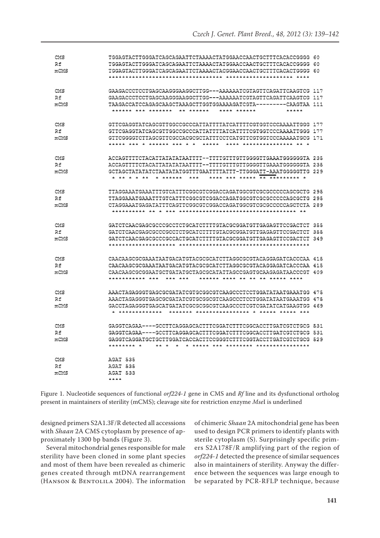| CMS  | TGGAGTACTTGGGATCAGCAGAATTCTAAAACTATGGAACCAACTGCTTTCACACCGGGG 60                                                                     |  |
|------|-------------------------------------------------------------------------------------------------------------------------------------|--|
| Rf   | TGGAGTACTTGGGATCAGCAGAATTCTAAAACTATGGAACCAACTGCTTTCACACCGGGG 60                                                                     |  |
| mCMS |                                                                                                                                     |  |
|      |                                                                                                                                     |  |
|      |                                                                                                                                     |  |
| CMS  | GAAGACCCTCCTGAGCAAGGGAAGGCTTGG---AAAAAATCGTAGTTCAGATTCAAGTCG 117                                                                    |  |
| Rf   | GAAGACCCTCCTGAGCAAGGGAAGGCTTGG---AAAAAATCGTAGTTCAGATTCAAGTCG 117                                                                    |  |
| mCMS | TAAGACCATCCAGAGCAAGCTAAAGCTTGGTGGAAAAGATCGTA---------CAAGTAA 111                                                                    |  |
|      | <b>****************</b><br><b>AAAAAAAA</b><br><b> </b><br>*****                                                                     |  |
|      |                                                                                                                                     |  |
| CMS  | GITCGAGGTATCAGCGTTGGCCGCCCATTATTTTATCATTTTCGTGGTCCCAAAATTGGG 177                                                                    |  |
| Rf   | GTTCGAGGTATCAGCGTTGGCCGCCCATTATTTTATCATTTTCGTGGTCCCAAAATTGGG 177                                                                    |  |
| mCMS | GTTCGGGGTCTTAGCGTTGGCCACGCGCTATTTCCTCATGTTCGTGGTCCCAAAAATGCG (171                                                                   |  |
|      | ***** *** * ****** * * * *<br>*****<br>***** *************** ** *                                                                   |  |
|      |                                                                                                                                     |  |
| CMS  | ACCAGTITICTACATTATATATAATTTT--TTTTGTTGTTGGGGTTGAAATGGGGGGTA 235                                                                     |  |
| Rf   | ACCAGTITTCTACATTATATATATATTTT--TTTTGTTTGTTGGGGTTGAAATGGGGGGTA 235                                                                   |  |
| mCMS | GCTAGCTATATATCTAATATATGGTTTGAATTTTATTT-TTGGGATT-AAATGGGGGTTG 229                                                                    |  |
|      | ***** *** ***** <del>** ********</del> *<br>***<br>* ******                                                                         |  |
|      |                                                                                                                                     |  |
| CMS  | TTAGGAAATGAAATTTGTCATTTCGGCGTCGGACCAGATGGCGTCGCGCCCCCAGCGCTG 295                                                                    |  |
| R£   | TTAGGAAATGAAATTTGTCATTTCGGCGTCGGACCAGATGGCGTCGCGCCCCCAGCGCTG 295                                                                    |  |
| mCMS | CTAGGAAATGAGATATTTCAGTTCGGCGTCGGACCAGATGGCGTCGCGCCCCCAGCTCTA 289                                                                    |  |
|      |                                                                                                                                     |  |
|      |                                                                                                                                     |  |
| CMS  | GATCTCAACGAGCGCCCGCCTCTGCATCTTTTGTACGCGGATGTTGAGAGTTCCGACTCT 355                                                                    |  |
|      |                                                                                                                                     |  |
| Rf   | GATCTCAACGAGCGCCCCCCTCTGCATCTTTTGTACGCGGATGTTGAGAGTTCCGACTCT 355                                                                    |  |
| mCMS |                                                                                                                                     |  |
|      |                                                                                                                                     |  |
|      | CAACAAGCGCGAAATAATGACATGTACGCGCATCTTAGGCGCGTACAGGAGATCACCCAA 415                                                                    |  |
| CMS  |                                                                                                                                     |  |
| Rf   | CAACAAGCGCGAAATAATGACATGTACGCGCATCTTAGGCGCGTACAGGAGATCACCCAA 415                                                                    |  |
| mCMS | CAACAAGCGCGGAATGCTGATATGCTAGCGCATATTAGCCGAGTGCAAGAGATAACCCGT 409<br>************ **<br>*** ***<br>******* **** ** ** ** ****** **** |  |
|      |                                                                                                                                     |  |
|      |                                                                                                                                     |  |
| CMS  | AAACTAGAGGGTGAGCGCGATATCGTGCGGCGTCAAGCCCTCCTGGATATAATGAAATGG 475                                                                    |  |
| Rf   | AAACTAGAGGGTGAGCGCGATATCGTGCGGCGTCAAGCCCTCCTGGATATAATGAAATGG 475                                                                    |  |
| mCMS | GACCTAGAGGGTGAGCATGATATCGCGCGGCGTCAAGCCCTCGTCGATATCATGAAGTGG : 4 69                                                                 |  |
|      | ******** *************** * ****** ***** ***<br>* *************                                                                      |  |
|      |                                                                                                                                     |  |
| CMS  | GAGGTCAGAA----GCCTTCAGGAGCACTTTCGGATCTTTCGGCACCTTGATCGTCTGCG 531                                                                    |  |
| R£   | GAGGTCAGAA----GCCTTCAGGAGCACTTTCGGATCTTTCGGCACCTTGATCGTCTGCG 531                                                                    |  |
| mCMS | GAGGTCAGGATGCTGCTTGGATCACCACTTCCGGGTCTTTCGGTACCTTGATCGTCTGCG 529                                                                    |  |
|      | ******** *<br>* ***** *** ******** ***************                                                                                  |  |
|      |                                                                                                                                     |  |
| CMS  | AGAT 535                                                                                                                            |  |
| Rf   | AGAT 535                                                                                                                            |  |
| mCMS | AGAT 533                                                                                                                            |  |
|      | ****                                                                                                                                |  |

Figure 1. Nucleotide sequences of functional *orf224-1* gene in CMS and *Rf* line and its dysfunctional ortholog present in maintainers of sterility (mCMS); cleavage site for restriction enzyme *Mse*I is underlined

designed primers S2A1.3F/R detected all accessions with *Shaan* 2A CMS cytoplasm by presence of approximately 1300 bp bands (Figure 3).

Several mitochondrial genes responsible for male sterility have been cloned in some plant species and most of them have been revealed as chimeric genes created through mtDNA rearrangement (Hanson & Bentolila 2004). The information of chimeric *Shaan* 2A mitochondrial gene has been used to design PCR primers to identify plants with sterile cytoplasm (S). Surprisingly specific primers S2A178F/R amplifying part of the region of orf224-1 detected the presence of similar sequences also in maintainers of sterility. Anyway the difference between the sequences was large enough to be separated by PCR-RFLP technique, because